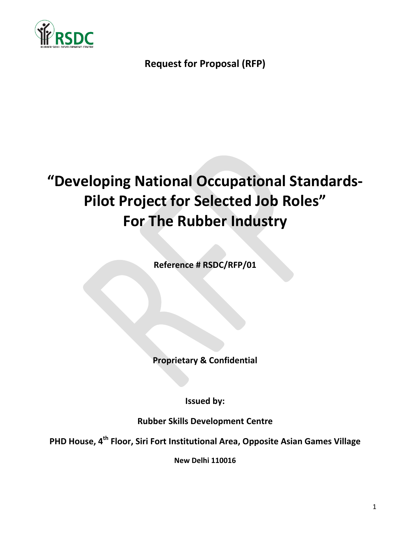

# **Request for Proposal (RFP)**

# **"Developing National Occupational Standards-Pilot Project for Selected Job Roles" For The Rubber Industry**

**Reference # RSDC/RFP/01**

**Proprietary & Confidential**

**Issued by:**

**Rubber Skills Development Centre**

**PHD House, 4 th Floor, Siri Fort Institutional Area, Opposite Asian Games Village**

**New Delhi 110016**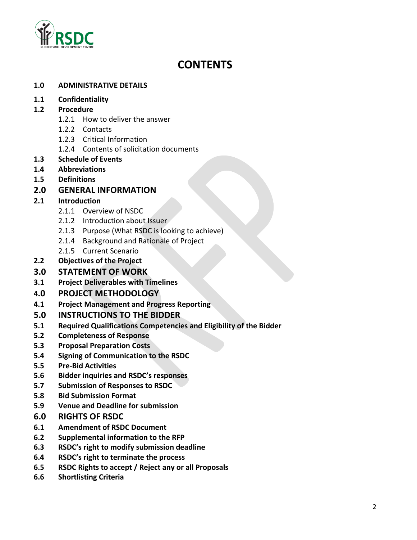

# **CONTENTS**

#### **1.0 ADMINISTRATIVE DETAILS**

#### **1.1 Confidentiality**

#### **1.2 Procedure**

- 1.2.1 How to deliver the answer
- 1.2.2 Contacts
- 1.2.3 Critical Information
- 1.2.4 Contents of solicitation documents
- **1.3 Schedule of Events**
- **1.4 Abbreviations**
- **1.5 Definitions**
- **2.0 GENERAL INFORMATION**

#### **2.1 Introduction**

- 2.1.1 Overview of NSDC
- 2.1.2 Introduction about Issuer
- 2.1.3 Purpose (What RSDC is looking to achieve)
- 2.1.4 Background and Rationale of Project
- 2.1.5 Current Scenario
- **2.2 Objectives of the Project**

#### **3.0 STATEMENT OF WORK**

**3.1 Project Deliverables with Timelines**

#### **4.0 PROJECT METHODOLOGY**

**4.1 Project Management and Progress Reporting**

#### **5.0 INSTRUCTIONS TO THE BIDDER**

- **5.1 Required Qualifications Competencies and Eligibility of the Bidder**
- **5.2 Completeness of Response**
- **5.3 Proposal Preparation Costs**
- **5.4 Signing of Communication to the RSDC**
- **5.5 Pre-Bid Activities**
- **5.6 Bidder inquiries and RSDC's responses**
- **5.7 Submission of Responses to RSDC**
- **5.8 Bid Submission Format**
- **5.9 Venue and Deadline for submission**
- **6.0 RIGHTS OF RSDC**
- **6.1 Amendment of RSDC Document**
- **6.2 Supplemental information to the RFP**
- **6.3 RSDC's right to modify submission deadline**
- **6.4 RSDC's right to terminate the process**
- **6.5 RSDC Rights to accept / Reject any or all Proposals**
- **6.6 Shortlisting Criteria**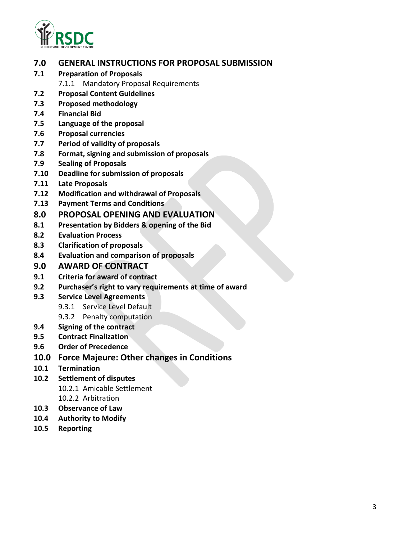

# **7.0 GENERAL INSTRUCTIONS FOR PROPOSAL SUBMISSION**

- **7.1 Preparation of Proposals** 
	- 7.1.1 Mandatory Proposal Requirements
- **7.2 Proposal Content Guidelines**
- **7.3 Proposed methodology**
- **7.4 Financial Bid**
- **7.5 Language of the proposal**
- **7.6 Proposal currencies**
- **7.7 Period of validity of proposals**
- **7.8 Format, signing and submission of proposals**
- **7.9 Sealing of Proposals**
- **7.10 Deadline for submission of proposals**
- **7.11 Late Proposals**
- **7.12 Modification and withdrawal of Proposals**
- **7.13 Payment Terms and Conditions**
- **8.0 PROPOSAL OPENING AND EVALUATION**
- **8.1 Presentation by Bidders & opening of the Bid**
- **8.2 Evaluation Process**
- **8.3 Clarification of proposals**
- **8.4 Evaluation and comparison of proposals**

#### **9.0 AWARD OF CONTRACT**

- **9.1 Criteria for award of contract**
- **9.2 Purchaser's right to vary requirements at time of award**
- **9.3 Service Level Agreements**
	- 9.3.1 Service Level Default
	- 9**.**3.2 Penalty computation
- **9.4 Signing of the contract**
- **9.5 Contract Finalization**
- **9.6 Order of Precedence**
- **10.0 Force Majeure: Other changes in Conditions**
- **10.1 Termination**
- **10.2 Settlement of disputes** 10.2.1 Amicable Settlement
	- 10.2.2 Arbitration
- **10.3 Observance of Law**
- **10.4 Authority to Modify**
- **10.5 Reporting**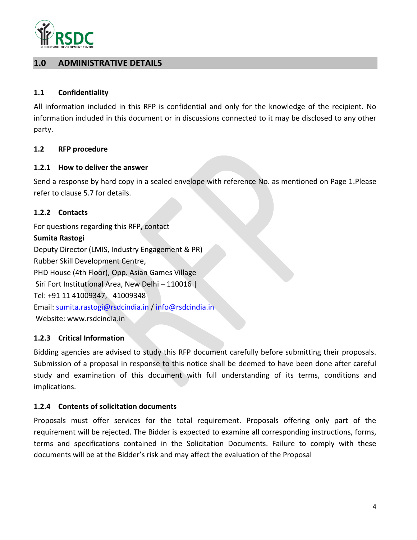

# **1.0 ADMINISTRATIVE DETAILS**

#### **1.1 Confidentiality**

All information included in this RFP is confidential and only for the knowledge of the recipient. No information included in this document or in discussions connected to it may be disclosed to any other party.

#### **1.2 RFP procedure**

#### **1.2.1 How to deliver the answer**

Send a response by hard copy in a sealed envelope with reference No. as mentioned on Page 1.Please refer to clause 5.7 for details.

#### **1.2.2 Contacts**

For questions regarding this RFP, contact **Sumita Rastogi** Deputy Director (LMIS, Industry Engagement & PR) Rubber Skill Development Centre, PHD House (4th Floor), Opp. Asian Games Village Siri Fort Institutional Area, New Delhi – 110016 | Tel: +91 11 41009347, 41009348 Email: [sumita.rastogi@rsdcindia.in](mailto:sumita.rastogi@rsdcindia.in) / [info@rsdcindia.in](mailto:info@rsdcindia.in) Website: www.rsdcindia.in

#### **1.2.3 Critical Information**

Bidding agencies are advised to study this RFP document carefully before submitting their proposals. Submission of a proposal in response to this notice shall be deemed to have been done after careful study and examination of this document with full understanding of its terms, conditions and implications.

#### **1.2.4 Contents of solicitation documents**

Proposals must offer services for the total requirement. Proposals offering only part of the requirement will be rejected. The Bidder is expected to examine all corresponding instructions, forms, terms and specifications contained in the Solicitation Documents. Failure to comply with these documents will be at the Bidder's risk and may affect the evaluation of the Proposal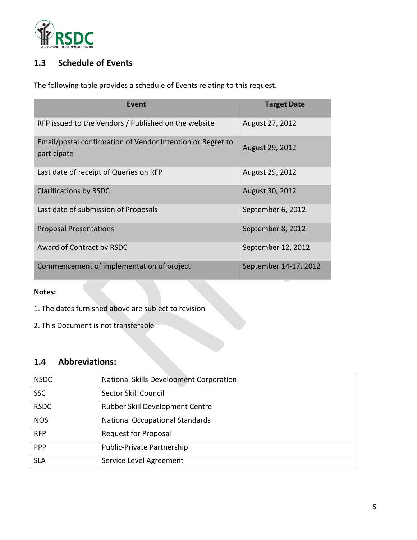

# **1.3 Schedule of Events**

The following table provides a schedule of Events relating to this request.

| Event                                                                     | <b>Target Date</b>    |
|---------------------------------------------------------------------------|-----------------------|
| RFP issued to the Vendors / Published on the website                      | August 27, 2012       |
| Email/postal confirmation of Vendor Intention or Regret to<br>participate | August 29, 2012       |
| Last date of receipt of Queries on RFP                                    | August 29, 2012       |
| <b>Clarifications by RSDC</b>                                             | August 30, 2012       |
| Last date of submission of Proposals                                      | September 6, 2012     |
| <b>Proposal Presentations</b>                                             | September 8, 2012     |
| Award of Contract by RSDC                                                 | September 12, 2012    |
| Commencement of implementation of project                                 | September 14-17, 2012 |

#### **Notes:**

- 1. The dates furnished above are subject to revision
- 2. This Document is not transferable

# **1.4 Abbreviations:**

| <b>NSDC</b> | National Skills Development Corporation |
|-------------|-----------------------------------------|
| <b>SSC</b>  | Sector Skill Council                    |
| <b>RSDC</b> | Rubber Skill Development Centre         |
| <b>NOS</b>  | <b>National Occupational Standards</b>  |
| <b>RFP</b>  | <b>Request for Proposal</b>             |
| PPP         | Public-Private Partnership              |
| <b>SLA</b>  | Service Level Agreement                 |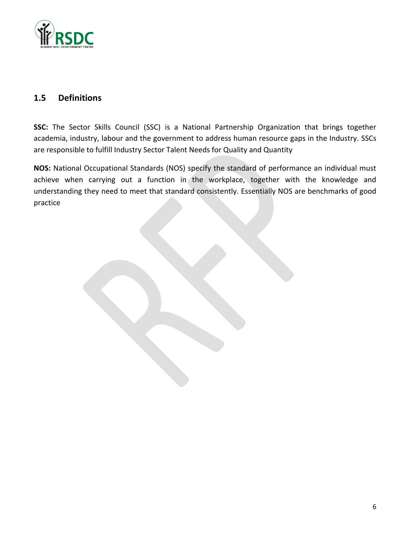

# **1.5 Definitions**

**SSC:** The Sector Skills Council (SSC) is a National Partnership Organization that brings together academia, industry, labour and the government to address human resource gaps in the Industry. SSCs are responsible to fulfill Industry Sector Talent Needs for Quality and Quantity

**NOS:** National Occupational Standards (NOS) specify the standard of performance an individual must achieve when carrying out a function in the workplace, together with the knowledge and understanding they need to meet that standard consistently. Essentially NOS are benchmarks of good practice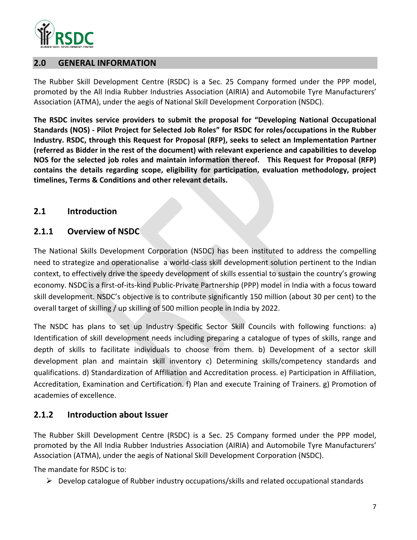

## **2.0 GENERAL INFORMATION**

The Rubber Skill Development Centre (RSDC) is a Sec. 25 Company formed under the PPP model, promoted by the All India Rubber Industries Association (AIRIA) and Automobile Tyre Manufacturers' Association (ATMA), under the aegis of National Skill Development Corporation (NSDC).

**The RSDC invites service providers to submit the proposal for "Developing National Occupational Standards (NOS) - Pilot Project for Selected Job Roles" for RSDC for roles/occupations in the Rubber Industry. RSDC, through this Request for Proposal (RFP), seeks to select an Implementation Partner (referred as Bidder in the rest of the document) with relevant experience and capabilities to develop NOS for the selected job roles and maintain information thereof. This Request for Proposal (RFP) contains the details regarding scope, eligibility for participation, evaluation methodology, project timelines, Terms & Conditions and other relevant details.** 

#### **2.1 Introduction**

# **2.1.1 Overview of NSDC**

The National Skills Development Corporation (NSDC) has been instituted to address the compelling need to strategize and operationalise a world-class skill development solution pertinent to the Indian context, to effectively drive the speedy development of skills essential to sustain the country's growing economy. NSDC is a first-of-its-kind Public-Private Partnership (PPP) model in India with a focus toward skill development. NSDC's objective is to contribute significantly 150 million (about 30 per cent) to the overall target of skilling / up skilling of 500 million people in India by 2022.

The NSDC has plans to set up Industry Specific Sector Skill Councils with following functions: a) Identification of skill development needs including preparing a catalogue of types of skills, range and depth of skills to facilitate individuals to choose from them. b) Development of a sector skill development plan and maintain skill inventory c) Determining skills/competency standards and qualifications. d) Standardization of Affiliation and Accreditation process. e) Participation in Affiliation, Accreditation, Examination and Certification. f) Plan and execute Training of Trainers. g) Promotion of academies of excellence.

# **2.1.2 Introduction about Issuer**

The Rubber Skill Development Centre (RSDC) is a Sec. 25 Company formed under the PPP model, promoted by the All India Rubber Industries Association (AIRIA) and Automobile Tyre Manufacturers' Association (ATMA), under the aegis of National Skill Development Corporation (NSDC).

The mandate for RSDC is to:

 $\triangleright$  Develop catalogue of Rubber industry occupations/skills and related occupational standards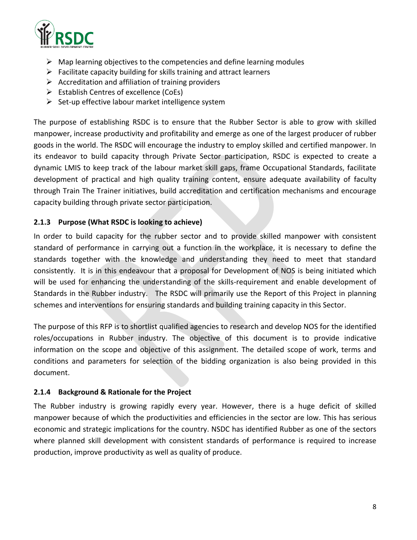

- $\triangleright$  Map learning objectives to the competencies and define learning modules
- $\triangleright$  Facilitate capacity building for skills training and attract learners
- $\triangleright$  Accreditation and affiliation of training providers
- $\triangleright$  Establish Centres of excellence (CoEs)
- $\triangleright$  Set-up effective labour market intelligence system

The purpose of establishing RSDC is to ensure that the Rubber Sector is able to grow with skilled manpower, increase productivity and profitability and emerge as one of the largest producer of rubber goods in the world. The RSDC will encourage the industry to employ skilled and certified manpower. In its endeavor to build capacity through Private Sector participation, RSDC is expected to create a dynamic LMIS to keep track of the labour market skill gaps, frame Occupational Standards, facilitate development of practical and high quality training content, ensure adequate availability of faculty through Train The Trainer initiatives, build accreditation and certification mechanisms and encourage capacity building through private sector participation.

#### **2.1.3 Purpose (What RSDC is looking to achieve)**

In order to build capacity for the rubber sector and to provide skilled manpower with consistent standard of performance in carrying out a function in the workplace, it is necessary to define the standards together with the knowledge and understanding they need to meet that standard consistently. It is in this endeavour that a proposal for Development of NOS is being initiated which will be used for enhancing the understanding of the skills-requirement and enable development of Standards in the Rubber industry. The RSDC will primarily use the Report of this Project in planning schemes and interventions for ensuring standards and building training capacity in this Sector.

The purpose of this RFP is to shortlist qualified agencies to research and develop NOS for the identified roles/occupations in Rubber industry. The objective of this document is to provide indicative information on the scope and objective of this assignment. The detailed scope of work, terms and conditions and parameters for selection of the bidding organization is also being provided in this document.

#### **2.1.4 Background & Rationale for the Project**

The Rubber industry is growing rapidly every year. However, there is a huge deficit of skilled manpower because of which the productivities and efficiencies in the sector are low. This has serious economic and strategic implications for the country. NSDC has identified Rubber as one of the sectors where planned skill development with consistent standards of performance is required to increase production, improve productivity as well as quality of produce.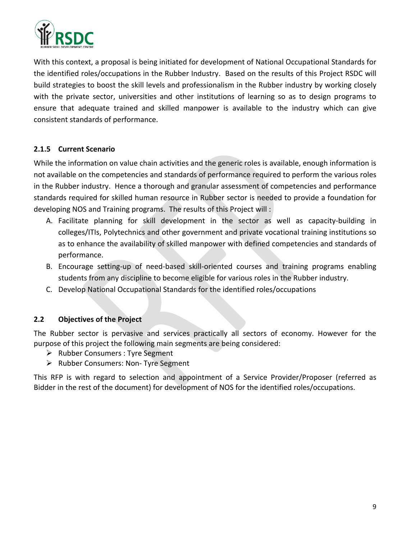

With this context, a proposal is being initiated for development of National Occupational Standards for the identified roles/occupations in the Rubber Industry. Based on the results of this Project RSDC will build strategies to boost the skill levels and professionalism in the Rubber industry by working closely with the private sector, universities and other institutions of learning so as to design programs to ensure that adequate trained and skilled manpower is available to the industry which can give consistent standards of performance.

#### **2.1.5 Current Scenario**

While the information on value chain activities and the generic roles is available, enough information is not available on the competencies and standards of performance required to perform the various roles in the Rubber industry. Hence a thorough and granular assessment of competencies and performance standards required for skilled human resource in Rubber sector is needed to provide a foundation for developing NOS and Training programs. The results of this Project will :

- A. Facilitate planning for skill development in the sector as well as capacity-building in colleges/ITIs, Polytechnics and other government and private vocational training institutions so as to enhance the availability of skilled manpower with defined competencies and standards of performance.
- B. Encourage setting-up of need-based skill-oriented courses and training programs enabling students from any discipline to become eligible for various roles in the Rubber industry.
- C. Develop National Occupational Standards for the identified roles/occupations

#### **2.2 Objectives of the Project**

The Rubber sector is pervasive and services practically all sectors of economy. However for the purpose of this project the following main segments are being considered:

- $\triangleright$  Rubber Consumers : Tyre Segment
- $\triangleright$  Rubber Consumers: Non- Tyre Segment

This RFP is with regard to selection and appointment of a Service Provider/Proposer (referred as Bidder in the rest of the document) for development of NOS for the identified roles/occupations.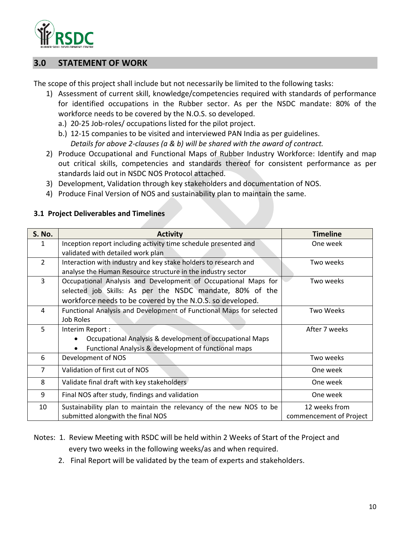

## **3.0 STATEMENT OF WORK**

The scope of this project shall include but not necessarily be limited to the following tasks:

- 1) Assessment of current skill, knowledge/competencies required with standards of performance for identified occupations in the Rubber sector. As per the NSDC mandate: 80% of the workforce needs to be covered by the N.O.S. so developed.
	- a.) 20-25 Job-roles/ occupations listed for the pilot project.
	- b.) 12-15 companies to be visited and interviewed PAN India as per guidelines. *Details for above 2-clauses (a & b) will be shared with the award of contract.*
- 2) Produce Occupational and Functional Maps of Rubber Industry Workforce: Identify and map out critical skills, competencies and standards thereof for consistent performance as per standards laid out in NSDC NOS Protocol attached.
- 3) Development, Validation through key stakeholders and documentation of NOS.
- 4) Produce Final Version of NOS and sustainability plan to maintain the same.

| <b>S. No.</b>  | <b>Activity</b>                                                     | <b>Timeline</b>         |  |
|----------------|---------------------------------------------------------------------|-------------------------|--|
| 1              | Inception report including activity time schedule presented and     | One week                |  |
|                | validated with detailed work plan                                   |                         |  |
| $\overline{2}$ | Interaction with industry and key stake holders to research and     | Two weeks               |  |
|                | analyse the Human Resource structure in the industry sector         |                         |  |
| $\overline{3}$ | Occupational Analysis and Development of Occupational Maps for      | Two weeks               |  |
|                | selected job Skills: As per the NSDC mandate, 80% of the            |                         |  |
|                | workforce needs to be covered by the N.O.S. so developed.           |                         |  |
| 4              | Functional Analysis and Development of Functional Maps for selected | Two Weeks               |  |
|                | Job Roles                                                           |                         |  |
| 5              | Interim Report:                                                     | After 7 weeks           |  |
|                | Occupational Analysis & development of occupational Maps            |                         |  |
|                | Functional Analysis & development of functional maps                |                         |  |
| 6              | Development of NOS                                                  | Two weeks               |  |
| 7              | Validation of first cut of NOS                                      | One week                |  |
| 8              | Validate final draft with key stakeholders                          | One week                |  |
| 9              | Final NOS after study, findings and validation                      | One week                |  |
| 10             | Sustainability plan to maintain the relevancy of the new NOS to be  | 12 weeks from           |  |
|                | submitted alongwith the final NOS                                   | commencement of Project |  |

#### **3.1 Project Deliverables and Timelines**

- Notes: 1. Review Meeting with RSDC will be held within 2 Weeks of Start of the Project and every two weeks in the following weeks/as and when required.
	- 2. Final Report will be validated by the team of experts and stakeholders.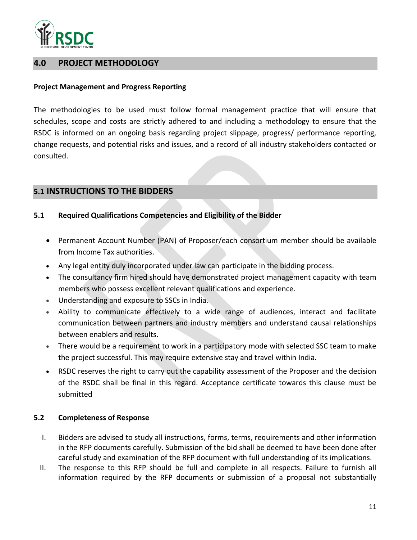

# **4.0 PROJECT METHODOLOGY**

#### **Project Management and Progress Reporting**

The methodologies to be used must follow formal management practice that will ensure that schedules, scope and costs are strictly adhered to and including a methodology to ensure that the RSDC is informed on an ongoing basis regarding project slippage, progress/ performance reporting, change requests, and potential risks and issues, and a record of all industry stakeholders contacted or consulted.

# **5.1 INSTRUCTIONS TO THE BIDDERS**

#### **5.1 Required Qualifications Competencies and Eligibility of the Bidder**

- Permanent Account Number (PAN) of Proposer/each consortium member should be available from Income Tax authorities.
- Any legal entity duly incorporated under law can participate in the bidding process.
- The consultancy firm hired should have demonstrated project management capacity with team members who possess excellent relevant qualifications and experience.
- Understanding and exposure to SSCs in India.
- Ability to communicate effectively to a wide range of audiences, interact and facilitate communication between partners and industry members and understand causal relationships between enablers and results.
- There would be a requirement to work in a participatory mode with selected SSC team to make the project successful. This may require extensive stay and travel within India.
- RSDC reserves the right to carry out the capability assessment of the Proposer and the decision of the RSDC shall be final in this regard. Acceptance certificate towards this clause must be submitted

#### **5.2 Completeness of Response**

- I. Bidders are advised to study all instructions, forms, terms, requirements and other information in the RFP documents carefully. Submission of the bid shall be deemed to have been done after careful study and examination of the RFP document with full understanding of its implications.
- II. The response to this RFP should be full and complete in all respects. Failure to furnish all information required by the RFP documents or submission of a proposal not substantially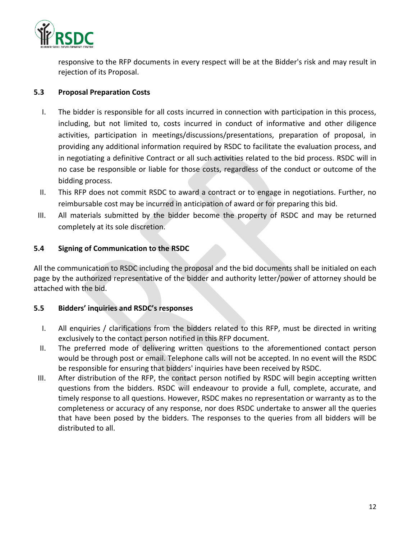

responsive to the RFP documents in every respect will be at the Bidder's risk and may result in rejection of its Proposal.

#### **5.3 Proposal Preparation Costs**

- I. The bidder is responsible for all costs incurred in connection with participation in this process, including, but not limited to, costs incurred in conduct of informative and other diligence activities, participation in meetings/discussions/presentations, preparation of proposal, in providing any additional information required by RSDC to facilitate the evaluation process, and in negotiating a definitive Contract or all such activities related to the bid process. RSDC will in no case be responsible or liable for those costs, regardless of the conduct or outcome of the bidding process.
- II. This RFP does not commit RSDC to award a contract or to engage in negotiations. Further, no reimbursable cost may be incurred in anticipation of award or for preparing this bid.
- III. All materials submitted by the bidder become the property of RSDC and may be returned completely at its sole discretion.

#### **5.4 Signing of Communication to the RSDC**

All the communication to RSDC including the proposal and the bid documents shall be initialed on each page by the authorized representative of the bidder and authority letter/power of attorney should be attached with the bid.

#### **5.5 Bidders' inquiries and RSDC's responses**

- I. All enquiries / clarifications from the bidders related to this RFP, must be directed in writing exclusively to the contact person notified in this RFP document.
- II. The preferred mode of delivering written questions to the aforementioned contact person would be through post or email. Telephone calls will not be accepted. In no event will the RSDC be responsible for ensuring that bidders' inquiries have been received by RSDC.
- III. After distribution of the RFP, the contact person notified by RSDC will begin accepting written questions from the bidders. RSDC will endeavour to provide a full, complete, accurate, and timely response to all questions. However, RSDC makes no representation or warranty as to the completeness or accuracy of any response, nor does RSDC undertake to answer all the queries that have been posed by the bidders. The responses to the queries from all bidders will be distributed to all.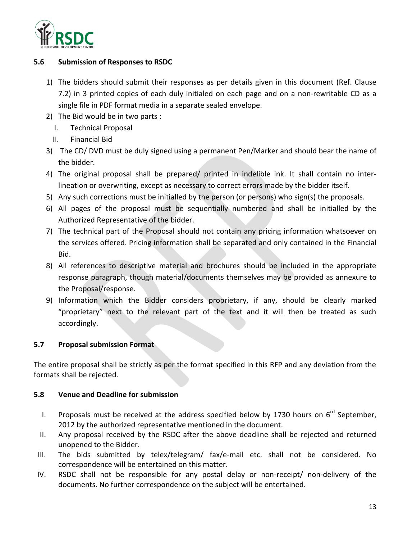

#### **5.6 Submission of Responses to RSDC**

- 1) The bidders should submit their responses as per details given in this document (Ref. Clause 7.2) in 3 printed copies of each duly initialed on each page and on a non-rewritable CD as a single file in PDF format media in a separate sealed envelope.
- 2) The Bid would be in two parts :
	- I. Technical Proposal
	- II. Financial Bid
- 3) The CD/ DVD must be duly signed using a permanent Pen/Marker and should bear the name of the bidder.
- 4) The original proposal shall be prepared/ printed in indelible ink. It shall contain no interlineation or overwriting, except as necessary to correct errors made by the bidder itself.
- 5) Any such corrections must be initialled by the person (or persons) who sign(s) the proposals.
- 6) All pages of the proposal must be sequentially numbered and shall be initialled by the Authorized Representative of the bidder.
- 7) The technical part of the Proposal should not contain any pricing information whatsoever on the services offered. Pricing information shall be separated and only contained in the Financial Bid.
- 8) All references to descriptive material and brochures should be included in the appropriate response paragraph, though material/documents themselves may be provided as annexure to the Proposal/response.
- 9) Information which the Bidder considers proprietary, if any, should be clearly marked "proprietary" next to the relevant part of the text and it will then be treated as such accordingly.

#### **5.7 Proposal submission Format**

The entire proposal shall be strictly as per the format specified in this RFP and any deviation from the formats shall be rejected.

#### **5.8 Venue and Deadline for submission**

- I. Proposals must be received at the address specified below by 1730 hours on  $6^{rd}$  September, 2012 by the authorized representative mentioned in the document.
- II. Any proposal received by the RSDC after the above deadline shall be rejected and returned unopened to the Bidder.
- III. The bids submitted by telex/telegram/ fax/e-mail etc. shall not be considered. No correspondence will be entertained on this matter.
- IV. RSDC shall not be responsible for any postal delay or non-receipt/ non-delivery of the documents. No further correspondence on the subject will be entertained.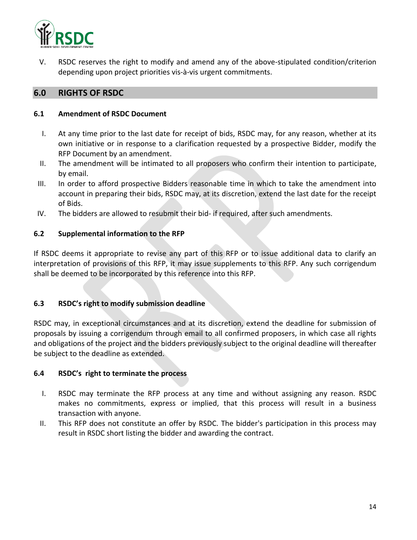

V. RSDC reserves the right to modify and amend any of the above-stipulated condition/criterion depending upon project priorities vis-à-vis urgent commitments.

# **6.0 RIGHTS OF RSDC**

#### **6.1 Amendment of RSDC Document**

- I. At any time prior to the last date for receipt of bids, RSDC may, for any reason, whether at its own initiative or in response to a clarification requested by a prospective Bidder, modify the RFP Document by an amendment.
- II. The amendment will be intimated to all proposers who confirm their intention to participate, by email.
- III. In order to afford prospective Bidders reasonable time in which to take the amendment into account in preparing their bids, RSDC may, at its discretion, extend the last date for the receipt of Bids.
- IV. The bidders are allowed to resubmit their bid- if required, after such amendments.

#### **6.2 Supplemental information to the RFP**

If RSDC deems it appropriate to revise any part of this RFP or to issue additional data to clarify an interpretation of provisions of this RFP, it may issue supplements to this RFP. Any such corrigendum shall be deemed to be incorporated by this reference into this RFP.

#### **6.3 RSDC's right to modify submission deadline**

RSDC may, in exceptional circumstances and at its discretion, extend the deadline for submission of proposals by issuing a corrigendum through email to all confirmed proposers, in which case all rights and obligations of the project and the bidders previously subject to the original deadline will thereafter be subject to the deadline as extended.

#### **6.4 RSDC's right to terminate the process**

- I. RSDC may terminate the RFP process at any time and without assigning any reason. RSDC makes no commitments, express or implied, that this process will result in a business transaction with anyone.
- II. This RFP does not constitute an offer by RSDC. The bidder's participation in this process may result in RSDC short listing the bidder and awarding the contract.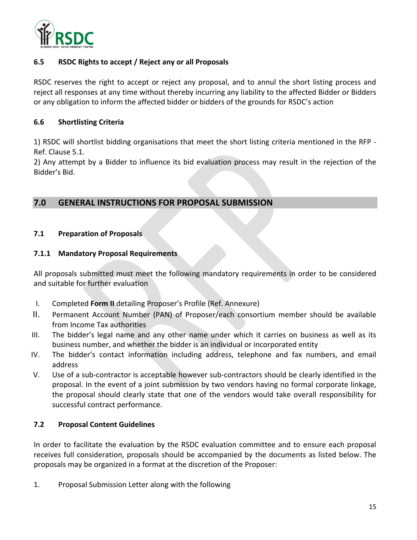

#### **6.5 RSDC Rights to accept / Reject any or all Proposals**

RSDC reserves the right to accept or reject any proposal, and to annul the short listing process and reject all responses at any time without thereby incurring any liability to the affected Bidder or Bidders or any obligation to inform the affected bidder or bidders of the grounds for RSDC's action

#### **6.6 Shortlisting Criteria**

1) RSDC will shortlist bidding organisations that meet the short listing criteria mentioned in the RFP - Ref. Clause 5.1.

2) Any attempt by a Bidder to influence its bid evaluation process may result in the rejection of the Bidder's Bid.

# **7.0 GENERAL INSTRUCTIONS FOR PROPOSAL SUBMISSION**

#### **7.1 Preparation of Proposals**

#### **7.1.1 Mandatory Proposal Requirements**

All proposals submitted must meet the following mandatory requirements in order to be considered and suitable for further evaluation

- I. Completed **Form II** detailing Proposer's Profile (Ref. Annexure)
- II. Permanent Account Number (PAN) of Proposer/each consortium member should be available from Income Tax authorities
- III. The bidder's legal name and any other name under which it carries on business as well as its business number, and whether the bidder is an individual or incorporated entity
- IV. The bidder's contact information including address, telephone and fax numbers, and email address
- V. Use of a sub-contractor is acceptable however sub-contractors should be clearly identified in the proposal. In the event of a joint submission by two vendors having no formal corporate linkage, the proposal should clearly state that one of the vendors would take overall responsibility for successful contract performance.

#### **7.2 Proposal Content Guidelines**

In order to facilitate the evaluation by the RSDC evaluation committee and to ensure each proposal receives full consideration, proposals should be accompanied by the documents as listed below. The proposals may be organized in a format at the discretion of the Proposer:

1. Proposal Submission Letter along with the following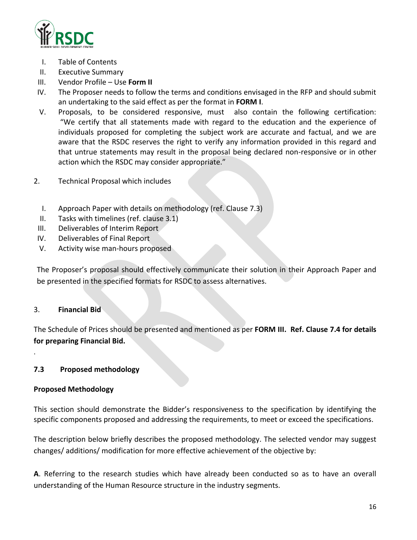

- I. Table of Contents
- II. Executive Summary
- III. Vendor Profile Use **Form II**
- IV. The Proposer needs to follow the terms and conditions envisaged in the RFP and should submit an undertaking to the said effect as per the format in **FORM I**.
- V. Proposals, to be considered responsive, must also contain the following certification: "We certify that all statements made with regard to the education and the experience of individuals proposed for completing the subject work are accurate and factual, and we are aware that the RSDC reserves the right to verify any information provided in this regard and that untrue statements may result in the proposal being declared non-responsive or in other action which the RSDC may consider appropriate."
- 2. Technical Proposal which includes
	- I. Approach Paper with details on methodology (ref. Clause 7.3)
	- II. Tasks with timelines (ref. clause 3.1)
- III. Deliverables of Interim Report
- IV. Deliverables of Final Report
- V. Activity wise man-hours proposed

The Proposer's proposal should effectively communicate their solution in their Approach Paper and be presented in the specified formats for RSDC to assess alternatives.

#### 3. **Financial Bid**

.

The Schedule of Prices should be presented and mentioned as per **FORM III. Ref. Clause 7.4 for details for preparing Financial Bid.**

#### **7.3 Proposed methodology**

#### **Proposed Methodology**

This section should demonstrate the Bidder's responsiveness to the specification by identifying the specific components proposed and addressing the requirements, to meet or exceed the specifications.

The description below briefly describes the proposed methodology. The selected vendor may suggest changes/ additions/ modification for more effective achievement of the objective by:

**A**. Referring to the research studies which have already been conducted so as to have an overall understanding of the Human Resource structure in the industry segments.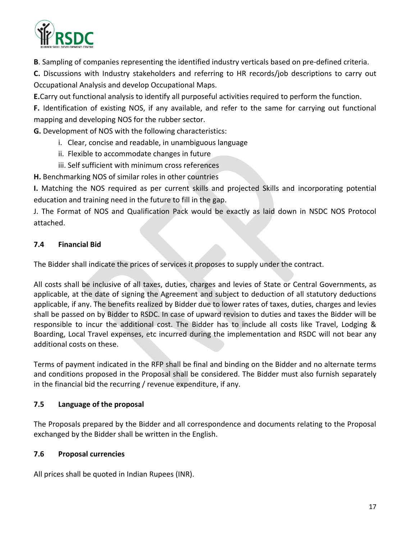

**B**. Sampling of companies representing the identified industry verticals based on pre-defined criteria.

**C.** Discussions with Industry stakeholders and referring to HR records/job descriptions to carry out Occupational Analysis and develop Occupational Maps.

**E.**Carry out functional analysis to identify all purposeful activities required to perform the function.

**F.** Identification of existing NOS, if any available, and refer to the same for carrying out functional mapping and developing NOS for the rubber sector.

**G.** Development of NOS with the following characteristics:

- i. Clear, concise and readable, in unambiguous language
- ii. Flexible to accommodate changes in future
- iii. Self sufficient with minimum cross references

**H.** Benchmarking NOS of similar roles in other countries

**I.** Matching the NOS required as per current skills and projected Skills and incorporating potential education and training need in the future to fill in the gap.

J. The Format of NOS and Qualification Pack would be exactly as laid down in NSDC NOS Protocol attached.

# **7.4 Financial Bid**

The Bidder shall indicate the prices of services it proposes to supply under the contract.

All costs shall be inclusive of all taxes, duties, charges and levies of State or Central Governments, as applicable, at the date of signing the Agreement and subject to deduction of all statutory deductions applicable, if any. The benefits realized by Bidder due to lower rates of taxes, duties, charges and levies shall be passed on by Bidder to RSDC. In case of upward revision to duties and taxes the Bidder will be responsible to incur the additional cost. The Bidder has to include all costs like Travel, Lodging & Boarding, Local Travel expenses, etc incurred during the implementation and RSDC will not bear any additional costs on these.

Terms of payment indicated in the RFP shall be final and binding on the Bidder and no alternate terms and conditions proposed in the Proposal shall be considered. The Bidder must also furnish separately in the financial bid the recurring / revenue expenditure, if any.

# **7.5 Language of the proposal**

The Proposals prepared by the Bidder and all correspondence and documents relating to the Proposal exchanged by the Bidder shall be written in the English.

# **7.6 Proposal currencies**

All prices shall be quoted in Indian Rupees (INR).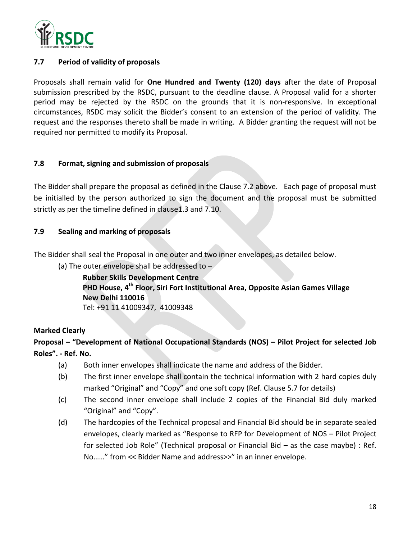

#### **7.7 Period of validity of proposals**

Proposals shall remain valid for **One Hundred and Twenty (120) days** after the date of Proposal submission prescribed by the RSDC, pursuant to the deadline clause. A Proposal valid for a shorter period may be rejected by the RSDC on the grounds that it is non-responsive. In exceptional circumstances, RSDC may solicit the Bidder's consent to an extension of the period of validity. The request and the responses thereto shall be made in writing. A Bidder granting the request will not be required nor permitted to modify its Proposal.

#### **7.8 Format, signing and submission of proposals**

The Bidder shall prepare the proposal as defined in the Clause 7.2 above. Each page of proposal must be initialled by the person authorized to sign the document and the proposal must be submitted strictly as per the timeline defined in clause1.3 and 7.10.

#### **7.9 Sealing and marking of proposals**

The Bidder shall seal the Proposal in one outer and two inner envelopes, as detailed below.

(a) The outer envelope shall be addressed to  $-$ 

**Rubber Skills Development Centre PHD House, 4th Floor, Siri Fort Institutional Area, Opposite Asian Games Village New Delhi 110016** Tel: +91 11 41009347, 41009348

#### **Marked Clearly**

# **Proposal – "Development of National Occupational Standards (NOS) – Pilot Project for selected Job Roles". - Ref. No.**

- (a) Both inner envelopes shall indicate the name and address of the Bidder.
- (b) The first inner envelope shall contain the technical information with 2 hard copies duly marked "Original" and "Copy" and one soft copy (Ref. Clause 5.7 for details)
- (c) The second inner envelope shall include 2 copies of the Financial Bid duly marked "Original" and "Copy".
- (d) The hardcopies of the Technical proposal and Financial Bid should be in separate sealed envelopes, clearly marked as "Response to RFP for Development of NOS – Pilot Project for selected Job Role" (Technical proposal or Financial Bid – as the case maybe) : Ref. No……" from << Bidder Name and address>>" in an inner envelope.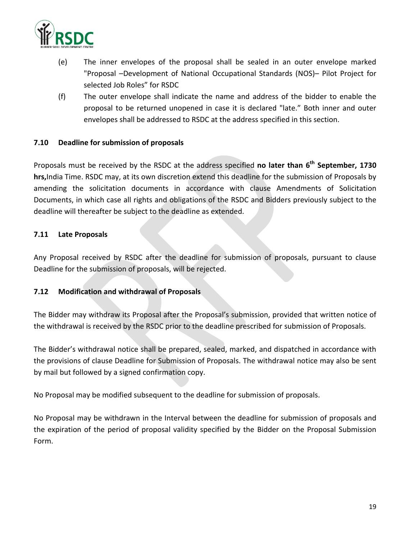

- (e) The inner envelopes of the proposal shall be sealed in an outer envelope marked "Proposal –Development of National Occupational Standards (NOS)– Pilot Project for selected Job Roles" for RSDC
- (f) The outer envelope shall indicate the name and address of the bidder to enable the proposal to be returned unopened in case it is declared "late." Both inner and outer envelopes shall be addressed to RSDC at the address specified in this section.

#### **7.10 Deadline for submission of proposals**

Proposals must be received by the RSDC at the address specified **no later than 6 th September, 1730 hrs,**India Time. RSDC may, at its own discretion extend this deadline for the submission of Proposals by amending the solicitation documents in accordance with clause Amendments of Solicitation Documents, in which case all rights and obligations of the RSDC and Bidders previously subject to the deadline will thereafter be subject to the deadline as extended.

#### **7.11 Late Proposals**

Any Proposal received by RSDC after the deadline for submission of proposals, pursuant to clause Deadline for the submission of proposals, will be rejected.

#### **7.12 Modification and withdrawal of Proposals**

The Bidder may withdraw its Proposal after the Proposal's submission, provided that written notice of the withdrawal is received by the RSDC prior to the deadline prescribed for submission of Proposals.

The Bidder's withdrawal notice shall be prepared, sealed, marked, and dispatched in accordance with the provisions of clause Deadline for Submission of Proposals. The withdrawal notice may also be sent by mail but followed by a signed confirmation copy.

No Proposal may be modified subsequent to the deadline for submission of proposals.

No Proposal may be withdrawn in the Interval between the deadline for submission of proposals and the expiration of the period of proposal validity specified by the Bidder on the Proposal Submission Form.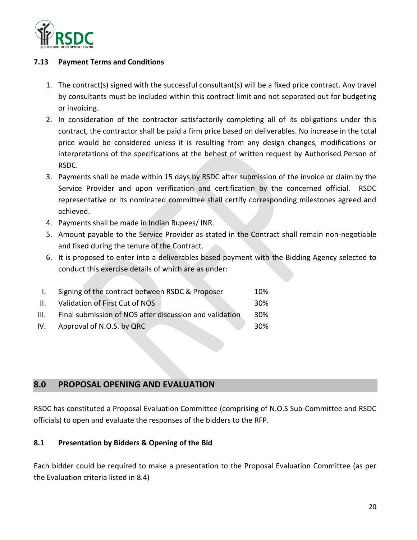

#### **7.13 Payment Terms and Conditions**

- 1. The contract(s) signed with the successful consultant(s) will be a fixed price contract. Any travel by consultants must be included within this contract limit and not separated out for budgeting or invoicing.
- 2. In consideration of the contractor satisfactorily completing all of its obligations under this contract, the contractor shall be paid a firm price based on deliverables. No increase in the total price would be considered unless it is resulting from any design changes, modifications or interpretations of the specifications at the behest of written request by Authorised Person of RSDC.
- 3. Payments shall be made within 15 days by RSDC after submission of the invoice or claim by the Service Provider and upon verification and certification by the concerned official. RSDC representative or its nominated committee shall certify corresponding milestones agreed and achieved.
- 4. Payments shall be made in Indian Rupees/ INR.
- 5. Amount payable to the Service Provider as stated in the Contract shall remain non-negotiable and fixed during the tenure of the Contract.
- 6. It is proposed to enter into a deliverables based payment with the Bidding Agency selected to conduct this exercise details of which are as under:

| 30% |
|-----|
| 30% |
| 30% |
|     |

# **8.0 PROPOSAL OPENING AND EVALUATION**

RSDC has constituted a Proposal Evaluation Committee (comprising of N.O.S Sub-Committee and RSDC officials) to open and evaluate the responses of the bidders to the RFP.

#### **8.1 Presentation by Bidders & Opening of the Bid**

Each bidder could be required to make a presentation to the Proposal Evaluation Committee (as per the Evaluation criteria listed in 8.4)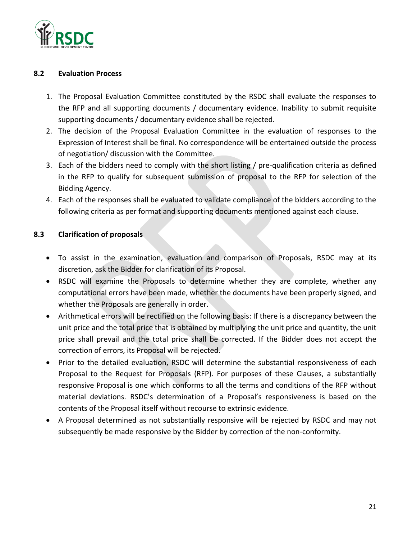

#### **8.2 Evaluation Process**

- 1. The Proposal Evaluation Committee constituted by the RSDC shall evaluate the responses to the RFP and all supporting documents / documentary evidence. Inability to submit requisite supporting documents / documentary evidence shall be rejected.
- 2. The decision of the Proposal Evaluation Committee in the evaluation of responses to the Expression of Interest shall be final. No correspondence will be entertained outside the process of negotiation/ discussion with the Committee.
- 3. Each of the bidders need to comply with the short listing / pre-qualification criteria as defined in the RFP to qualify for subsequent submission of proposal to the RFP for selection of the Bidding Agency.
- 4. Each of the responses shall be evaluated to validate compliance of the bidders according to the following criteria as per format and supporting documents mentioned against each clause.

#### **8.3 Clarification of proposals**

- To assist in the examination, evaluation and comparison of Proposals, RSDC may at its discretion, ask the Bidder for clarification of its Proposal.
- RSDC will examine the Proposals to determine whether they are complete, whether any computational errors have been made, whether the documents have been properly signed, and whether the Proposals are generally in order.
- Arithmetical errors will be rectified on the following basis: If there is a discrepancy between the unit price and the total price that is obtained by multiplying the unit price and quantity, the unit price shall prevail and the total price shall be corrected. If the Bidder does not accept the correction of errors, its Proposal will be rejected.
- Prior to the detailed evaluation, RSDC will determine the substantial responsiveness of each Proposal to the Request for Proposals (RFP). For purposes of these Clauses, a substantially responsive Proposal is one which conforms to all the terms and conditions of the RFP without material deviations. RSDC's determination of a Proposal's responsiveness is based on the contents of the Proposal itself without recourse to extrinsic evidence.
- A Proposal determined as not substantially responsive will be rejected by RSDC and may not subsequently be made responsive by the Bidder by correction of the non-conformity.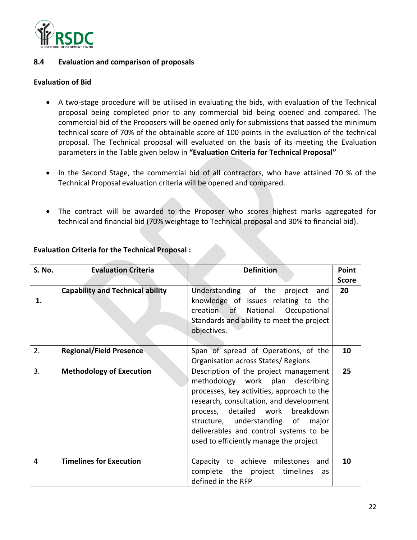

#### **8.4 Evaluation and comparison of proposals**

#### **Evaluation of Bid**

- A two-stage procedure will be utilised in evaluating the bids, with evaluation of the Technical proposal being completed prior to any commercial bid being opened and compared. The commercial bid of the Proposers will be opened only for submissions that passed the minimum technical score of 70% of the obtainable score of 100 points in the evaluation of the technical proposal. The Technical proposal will evaluated on the basis of its meeting the Evaluation parameters in the Table given below in **"Evaluation Criteria for Technical Proposal"**
- In the Second Stage, the commercial bid of all contractors, who have attained 70 % of the Technical Proposal evaluation criteria will be opened and compared.
- The contract will be awarded to the Proposer who scores highest marks aggregated for technical and financial bid (70% weightage to Technical proposal and 30% to financial bid).

| S. No. | <b>Evaluation Criteria</b>              | <b>Definition</b>                                                                                                                                                                                                                                                                                                                  | Point        |
|--------|-----------------------------------------|------------------------------------------------------------------------------------------------------------------------------------------------------------------------------------------------------------------------------------------------------------------------------------------------------------------------------------|--------------|
|        |                                         |                                                                                                                                                                                                                                                                                                                                    | <b>Score</b> |
| 1.     | <b>Capability and Technical ability</b> | Understanding of the<br>project<br>and<br>knowledge of issues relating to the<br>creation of National<br>Occupational<br>Standards and ability to meet the project<br>objectives.                                                                                                                                                  | 20           |
| 2.     | <b>Regional/Field Presence</b>          | Span of spread of Operations, of the<br>Organisation across States/Regions                                                                                                                                                                                                                                                         | 10           |
| 3.     | <b>Methodology of Execution</b>         | Description of the project management<br>methodology work plan describing<br>processes, key activities, approach to the<br>research, consultation, and development<br>process, detailed work breakdown<br>structure, understanding of<br>major<br>deliverables and control systems to be<br>used to efficiently manage the project | 25           |
| 4      | <b>Timelines for Execution</b>          | Capacity to achieve milestones and<br>complete the project<br>timelines<br>as<br>defined in the RFP                                                                                                                                                                                                                                | 10           |

#### **Evaluation Criteria for the Technical Proposal :**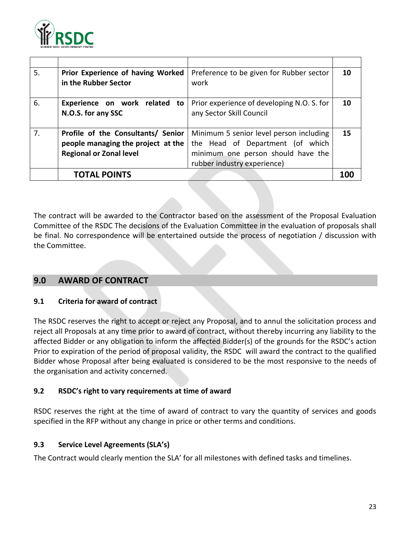

| 5. | Prior Experience of having Worked<br>in the Rubber Sector                                                  | Preference to be given for Rubber sector<br>work                                                                                                 | 10 |
|----|------------------------------------------------------------------------------------------------------------|--------------------------------------------------------------------------------------------------------------------------------------------------|----|
| 6. | Experience on work related<br>to<br>N.O.S. for any SSC                                                     | Prior experience of developing N.O. S. for<br>any Sector Skill Council                                                                           | 10 |
| 7. | Profile of the Consultants/ Senior<br>people managing the project at the<br><b>Regional or Zonal level</b> | Minimum 5 senior level person including<br>the Head of Department (of which<br>minimum one person should have the<br>rubber industry experience) | 15 |
|    | <b>TOTAL POINTS</b>                                                                                        |                                                                                                                                                  |    |

The contract will be awarded to the Contractor based on the assessment of the Proposal Evaluation Committee of the RSDC The decisions of the Evaluation Committee in the evaluation of proposals shall be final. No correspondence will be entertained outside the process of negotiation / discussion with the Committee.

# **9.0 AWARD OF CONTRACT**

#### **9.1 Criteria for award of contract**

The RSDC reserves the right to accept or reject any Proposal, and to annul the solicitation process and reject all Proposals at any time prior to award of contract, without thereby incurring any liability to the affected Bidder or any obligation to inform the affected Bidder(s) of the grounds for the RSDC's action Prior to expiration of the period of proposal validity, the RSDC will award the contract to the qualified Bidder whose Proposal after being evaluated is considered to be the most responsive to the needs of the organisation and activity concerned.

#### **9.2 RSDC's right to vary requirements at time of award**

RSDC reserves the right at the time of award of contract to vary the quantity of services and goods specified in the RFP without any change in price or other terms and conditions.

#### **9.3 Service Level Agreements (SLA's)**

The Contract would clearly mention the SLA' for all milestones with defined tasks and timelines.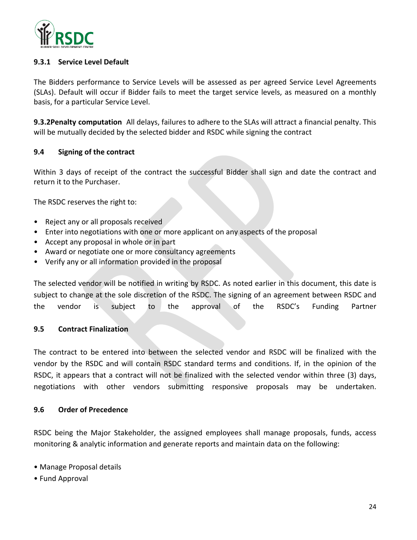

#### **9.3.1 Service Level Default**

The Bidders performance to Service Levels will be assessed as per agreed Service Level Agreements (SLAs). Default will occur if Bidder fails to meet the target service levels, as measured on a monthly basis, for a particular Service Level.

**9.3.2Penalty computation** All delays, failures to adhere to the SLAs will attract a financial penalty. This will be mutually decided by the selected bidder and RSDC while signing the contract

#### **9.4 Signing of the contract**

Within 3 days of receipt of the contract the successful Bidder shall sign and date the contract and return it to the Purchaser.

The RSDC reserves the right to:

- Reject any or all proposals received
- Enter into negotiations with one or more applicant on any aspects of the proposal
- Accept any proposal in whole or in part
- Award or negotiate one or more consultancy agreements
- Verify any or all information provided in the proposal

The selected vendor will be notified in writing by RSDC. As noted earlier in this document, this date is subject to change at the sole discretion of the RSDC. The signing of an agreement between RSDC and the vendor is subject to the approval of the RSDC's Funding Partner

#### **9.5 Contract Finalization**

The contract to be entered into between the selected vendor and RSDC will be finalized with the vendor by the RSDC and will contain RSDC standard terms and conditions. If, in the opinion of the RSDC, it appears that a contract will not be finalized with the selected vendor within three (3) days, negotiations with other vendors submitting responsive proposals may be undertaken.

#### **9.6 Order of Precedence**

RSDC being the Major Stakeholder, the assigned employees shall manage proposals, funds, access monitoring & analytic information and generate reports and maintain data on the following:

- Manage Proposal details
- Fund Approval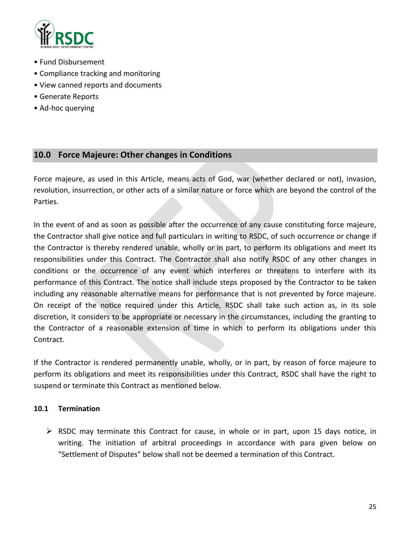

- Fund Disbursement
- Compliance tracking and monitoring
- View canned reports and documents
- Generate Reports
- Ad-hoc querying

# **10.0 Force Majeure: Other changes in Conditions**

Force majeure, as used in this Article, means acts of God, war (whether declared or not), invasion, revolution, insurrection, or other acts of a similar nature or force which are beyond the control of the Parties.

In the event of and as soon as possible after the occurrence of any cause constituting force majeure, the Contractor shall give notice and full particulars in writing to RSDC, of such occurrence or change if the Contractor is thereby rendered unable, wholly or in part, to perform its obligations and meet its responsibilities under this Contract. The Contractor shall also notify RSDC of any other changes in conditions or the occurrence of any event which interferes or threatens to interfere with its performance of this Contract. The notice shall include steps proposed by the Contractor to be taken including any reasonable alternative means for performance that is not prevented by force majeure. On receipt of the notice required under this Article, RSDC shall take such action as, in its sole discretion, it considers to be appropriate or necessary in the circumstances, including the granting to the Contractor of a reasonable extension of time in which to perform its obligations under this Contract.

If the Contractor is rendered permanently unable, wholly, or in part, by reason of force majeure to perform its obligations and meet its responsibilities under this Contract, RSDC shall have the right to suspend or terminate this Contract as mentioned below.

#### **10.1 Termination**

 $\triangleright$  RSDC may terminate this Contract for cause, in whole or in part, upon 15 days notice, in writing. The initiation of arbitral proceedings in accordance with para given below on "Settlement of Disputes" below shall not be deemed a termination of this Contract.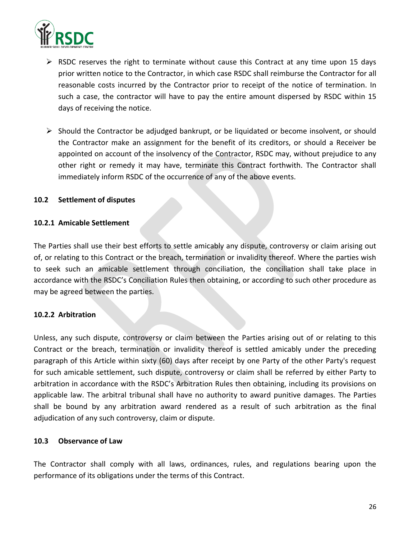

- $\triangleright$  RSDC reserves the right to terminate without cause this Contract at any time upon 15 days prior written notice to the Contractor, in which case RSDC shall reimburse the Contractor for all reasonable costs incurred by the Contractor prior to receipt of the notice of termination. In such a case, the contractor will have to pay the entire amount dispersed by RSDC within 15 days of receiving the notice.
- $\triangleright$  Should the Contractor be adjudged bankrupt, or be liquidated or become insolvent, or should the Contractor make an assignment for the benefit of its creditors, or should a Receiver be appointed on account of the insolvency of the Contractor, RSDC may, without prejudice to any other right or remedy it may have, terminate this Contract forthwith. The Contractor shall immediately inform RSDC of the occurrence of any of the above events.

#### **10.2 Settlement of disputes**

#### **10.2.1 Amicable Settlement**

The Parties shall use their best efforts to settle amicably any dispute, controversy or claim arising out of, or relating to this Contract or the breach, termination or invalidity thereof. Where the parties wish to seek such an amicable settlement through conciliation, the conciliation shall take place in accordance with the RSDC's Conciliation Rules then obtaining, or according to such other procedure as may be agreed between the parties.

#### **10.2.2 Arbitration**

Unless, any such dispute, controversy or claim between the Parties arising out of or relating to this Contract or the breach, termination or invalidity thereof is settled amicably under the preceding paragraph of this Article within sixty (60) days after receipt by one Party of the other Party's request for such amicable settlement, such dispute, controversy or claim shall be referred by either Party to arbitration in accordance with the RSDC's Arbitration Rules then obtaining, including its provisions on applicable law. The arbitral tribunal shall have no authority to award punitive damages. The Parties shall be bound by any arbitration award rendered as a result of such arbitration as the final adjudication of any such controversy, claim or dispute.

#### **10.3 Observance of Law**

The Contractor shall comply with all laws, ordinances, rules, and regulations bearing upon the performance of its obligations under the terms of this Contract.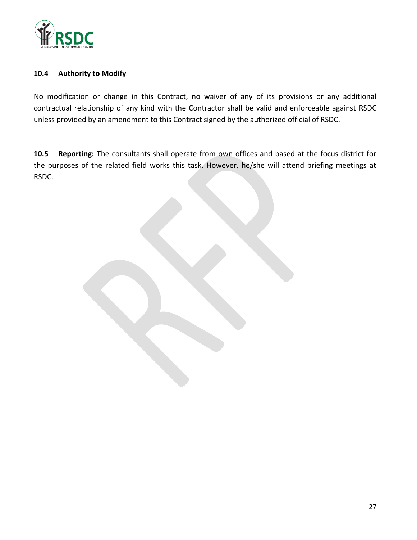

#### **10.4 Authority to Modify**

No modification or change in this Contract, no waiver of any of its provisions or any additional contractual relationship of any kind with the Contractor shall be valid and enforceable against RSDC unless provided by an amendment to this Contract signed by the authorized official of RSDC.

**10.5 Reporting:** The consultants shall operate from own offices and based at the focus district for the purposes of the related field works this task. However, he/she will attend briefing meetings at RSDC.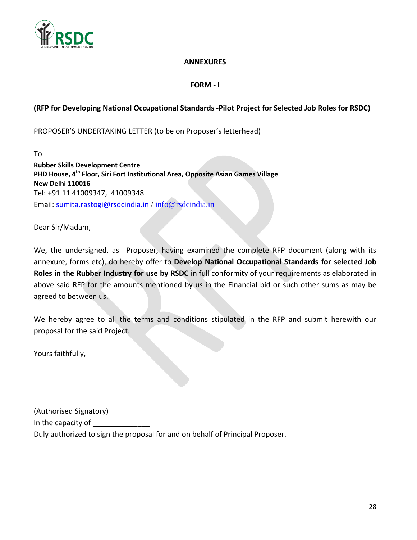

#### **ANNEXURES**

#### **FORM - I**

#### **(RFP for Developing National Occupational Standards -Pilot Project for Selected Job Roles for RSDC)**

PROPOSER'S UNDERTAKING LETTER (to be on Proposer's letterhead)

To: **Rubber Skills Development Centre PHD House, 4th Floor, Siri Fort Institutional Area, Opposite Asian Games Village New Delhi 110016** Tel: +91 11 41009347, 41009348 Email: [sumita.rastogi@rsdcindia.in](mailto:sumita.rastogi@rsdcindia.in) / [info@rsdcindia.in](mailto:info@rsdcindia.in)

Dear Sir/Madam,

We, the undersigned, as Proposer, having examined the complete RFP document (along with its annexure, forms etc), do hereby offer to **Develop National Occupational Standards for selected Job Roles in the Rubber Industry for use by RSDC** in full conformity of your requirements as elaborated in above said RFP for the amounts mentioned by us in the Financial bid or such other sums as may be agreed to between us.

We hereby agree to all the terms and conditions stipulated in the RFP and submit herewith our proposal for the said Project.

Yours faithfully,

(Authorised Signatory) In the capacity of \_ Duly authorized to sign the proposal for and on behalf of Principal Proposer.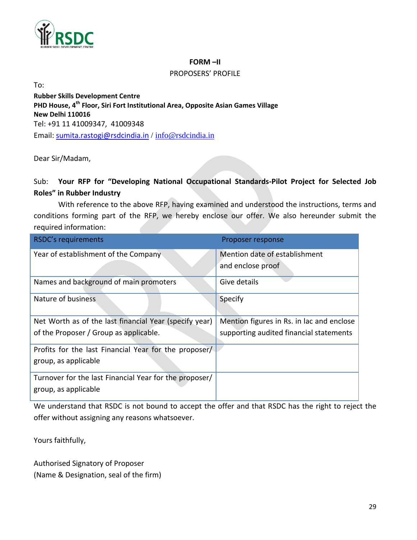

#### **FORM –II**

#### PROPOSERS' PROFILE

To:

**Rubber Skills Development Centre PHD House, 4th Floor, Siri Fort Institutional Area, Opposite Asian Games Village New Delhi 110016** Tel: +91 11 41009347, 41009348 Email: [sumita.rastogi@rsdcindia.in](mailto:sumita.rastogi@rsdcindia.in) / [info@rsdcindia.in](mailto:info@rsdcindia.in)

Dear Sir/Madam,

# Sub: **Your RFP for "Developing National Occupational Standards-Pilot Project for Selected Job Roles" in Rubber Industry**

With reference to the above RFP, having examined and understood the instructions, terms and conditions forming part of the RFP, we hereby enclose our offer. We also hereunder submit the required information:

| <b>RSDC's requirements</b>                             | Proposer response                         |
|--------------------------------------------------------|-------------------------------------------|
| Year of establishment of the Company                   | Mention date of establishment             |
|                                                        | and enclose proof                         |
| Names and background of main promoters                 | Give details                              |
| Nature of business                                     | Specify                                   |
|                                                        |                                           |
| Net Worth as of the last financial Year (specify year) | Mention figures in Rs. in lac and enclose |
| of the Proposer / Group as applicable.                 | supporting audited financial statements   |
| Profits for the last Financial Year for the proposer/  |                                           |
| group, as applicable                                   |                                           |
| Turnover for the last Financial Year for the proposer/ |                                           |
| group, as applicable                                   |                                           |

We understand that RSDC is not bound to accept the offer and that RSDC has the right to reject the offer without assigning any reasons whatsoever.

Yours faithfully,

Authorised Signatory of Proposer (Name & Designation, seal of the firm)